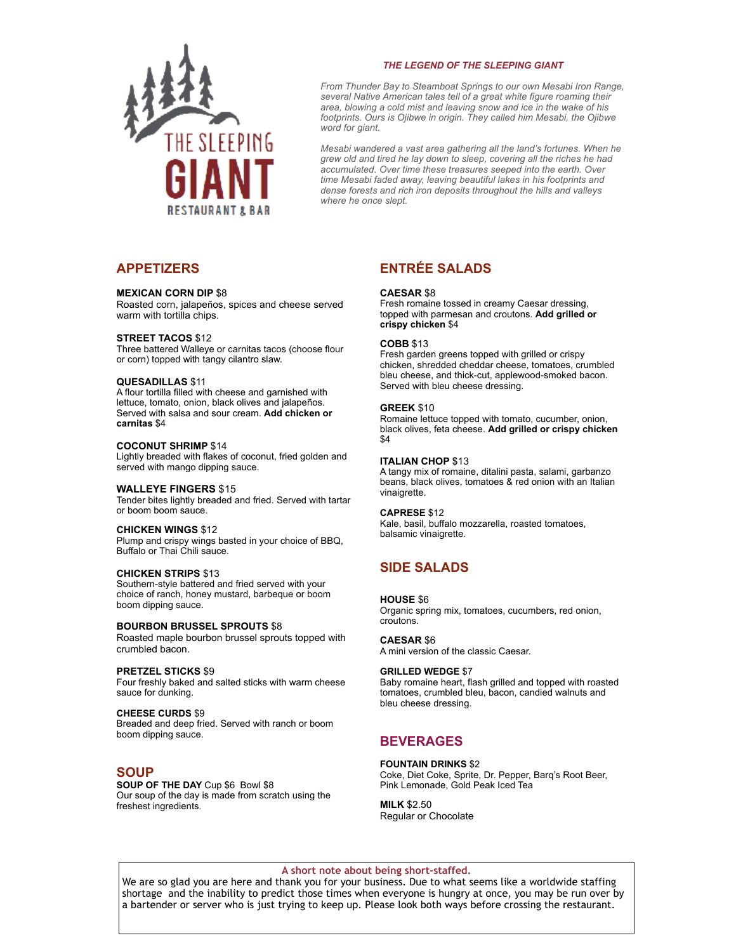

# *THE LEGEND OF THE SLEEPING GIANT*

*From Thunder Bay to Steamboat Springs to our own Mesabi Iron Range, several Native American tales tell of a great white figure roaming their area, blowing a cold mist and leaving snow and ice in the wake of his footprints. Ours is Ojibwe in origin. They called him Mesabi, the Ojibwe word for giant.* 

*Mesabi wandered a vast area gathering all the land's fortunes. When he grew old and tired he lay down to sleep, covering all the riches he had accumulated. Over time these treasures seeped into the earth. Over time Mesabi faded away, leaving beautiful lakes in his footprints and dense forests and rich iron deposits throughout the hills and valleys where he once slept.* 

# **APPETIZERS**

# **MEXICAN CORN DIP** \$8

Roasted corn, jalapeños, spices and cheese served warm with tortilla chips.

### **STREET TACOS** \$12

Three battered Walleye or carnitas tacos (choose flour or corn) topped with tangy cilantro slaw.

### **QUESADILLAS** \$11

A flour tortilla filled with cheese and garnished with lettuce, tomato, onion, black olives and jalapeños. Served with salsa and sour cream. **Add chicken or carnitas** \$4

# **COCONUT SHRIMP** \$14

Lightly breaded with flakes of coconut, fried golden and served with mango dipping sauce.

# **WALLEYE FINGERS** \$15

Tender bites lightly breaded and fried. Served with tartar or boom boom sauce.

# **CHICKEN WINGS** \$12

Plump and crispy wings basted in your choice of BBQ, Buffalo or Thai Chili sauce.

# **CHICKEN STRIPS** \$13

Southern-style battered and fried served with your choice of ranch, honey mustard, barbeque or boom boom dipping sauce.

#### **BOURBON BRUSSEL SPROUTS** \$8

Roasted maple bourbon brussel sprouts topped with crumbled bacon.

### **PRETZEL STICKS** \$9

Four freshly baked and salted sticks with warm cheese sauce for dunking.

#### **CHEESE CURDS** \$9 Breaded and deep fried. Served with ranch or boom boom dipping sauce.

# **SOUP**

**SOUP OF THE DAY** Cup \$6 Bowl \$8 Our soup of the day is made from scratch using the freshest ingredients.

# **ENTRÉE SALADS**

### **CAESAR** \$8

Fresh romaine tossed in creamy Caesar dressing, topped with parmesan and croutons. **Add grilled or crispy chicken** \$4

# **COBB** \$13

Fresh garden greens topped with grilled or crispy chicken, shredded cheddar cheese, tomatoes, crumbled bleu cheese, and thick-cut, applewood-smoked bacon. Served with bleu cheese dressing.

#### **GREEK** \$10

Romaine lettuce topped with tomato, cucumber, onion, black olives, feta cheese. **Add grilled or crispy chicken** \$4

#### **ITALIAN CHOP** \$13

A tangy mix of romaine, ditalini pasta, salami, garbanzo beans, black olives, tomatoes & red onion with an Italian vinaigrette.

#### **CAPRESE** \$12

Kale, basil, buffalo mozzarella, roasted tomatoes, balsamic vinaigrette.

# **SIDE SALADS**

### **HOUSE** \$6

Organic spring mix, tomatoes, cucumbers, red onion, croutons.

### **CAESAR** \$6

A mini version of the classic Caesar.

### **GRILLED WEDGE** \$7

Baby romaine heart, flash grilled and topped with roasted tomatoes, crumbled bleu, bacon, candied walnuts and bleu cheese dressing.

# **BEVERAGES**

# **FOUNTAIN DRINKS** \$2

Coke, Diet Coke, Sprite, Dr. Pepper, Barq's Root Beer, Pink Lemonade, Gold Peak Iced Tea

**MILK** \$2.50 Regular or Chocolate

### **A short note about being short-staffed.**

We are so glad you are here and thank you for your business. Due to what seems like a worldwide staffing shortage and the inability to predict those times when everyone is hungry at once, you may be run over by a bartender or server who is just trying to keep up. Please look both ways before crossing the restaurant.